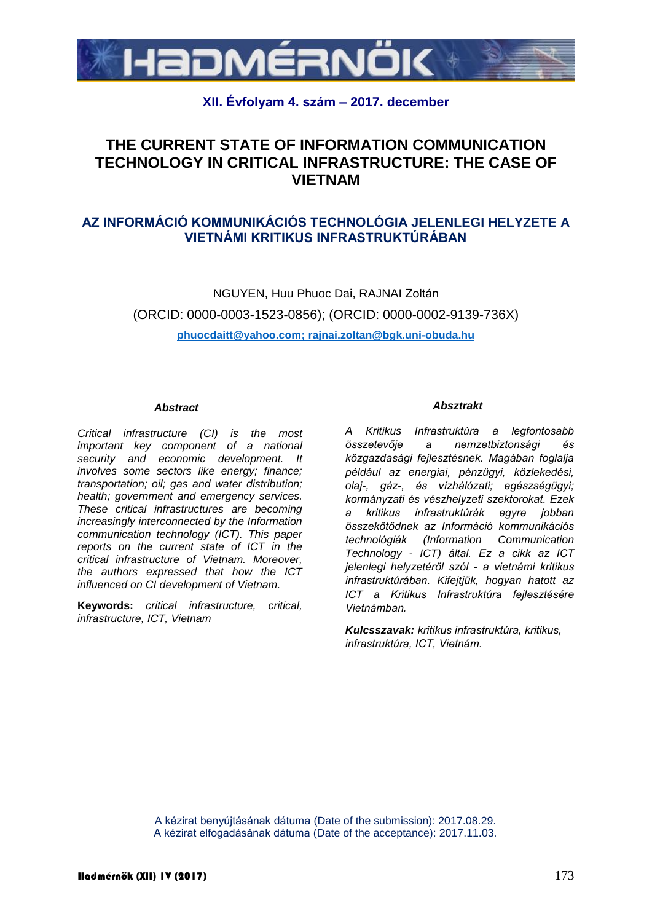

## **XII. Évfolyam 4. szám – 2017. december**

# **THE CURRENT STATE OF INFORMATION COMMUNICATION TECHNOLOGY IN CRITICAL INFRASTRUCTURE: THE CASE OF VIETNAM**

## **AZ INFORMÁCIÓ KOMMUNIKÁCIÓS TECHNOLÓGIA JELENLEGI HELYZETE A VIETNÁMI KRITIKUS INFRASTRUKTÚRÁBAN**

NGUYEN, Huu Phuoc Dai, RAJNAI Zoltán (ORCID: 0000-0003-1523-0856); (ORCID: 0000-0002-9139-736X) **[phuocdaitt@yahoo.com;](mailto:phuocdaitt@yahoo.com) [rajnai.zoltan@bgk.uni-obuda.hu](mailto:Rajnai.zoltan@bgk.uni-obuda.hu)**

#### *Abstract*

*Critical infrastructure (CI) is the most important key component of a national security and economic development. It involves some sectors like energy; finance; transportation; oil; gas and water distribution; health; government and emergency services. These critical infrastructures are becoming increasingly interconnected by the Information communication technology (ICT). This paper reports on the current state of ICT in the critical infrastructure of Vietnam. Moreover, the authors expressed that how the ICT influenced on CI development of Vietnam.*

**Keywords:** *critical infrastructure, critical, infrastructure, ICT, Vietnam*

#### *Absztrakt*

*A Kritikus Infrastruktúra a legfontosabb összetevője a nemzetbiztonsági és közgazdasági fejlesztésnek. Magában foglalja például az energiai, pénzügyi, közlekedési, olaj-, gáz-, és vízhálózati; egészségügyi; kormányzati és vészhelyzeti szektorokat. Ezek a kritikus infrastruktúrák egyre jobban összekötődnek az Információ kommunikációs technológiák (Information Communication Technology - ICT) által. Ez a cikk az ICT jelenlegi helyzetéről szól - a vietnámi kritikus infrastruktúrában. Kifejtjük, hogyan hatott az ICT a Kritikus Infrastruktúra fejlesztésére Vietnámban.*

*Kulcsszavak: kritikus infrastruktúra, kritikus, infrastruktúra, ICT, Vietnám.*

A kézirat benyújtásának dátuma (Date of the submission): 2017.08.29. A kézirat elfogadásának dátuma (Date of the acceptance): 2017.11.03.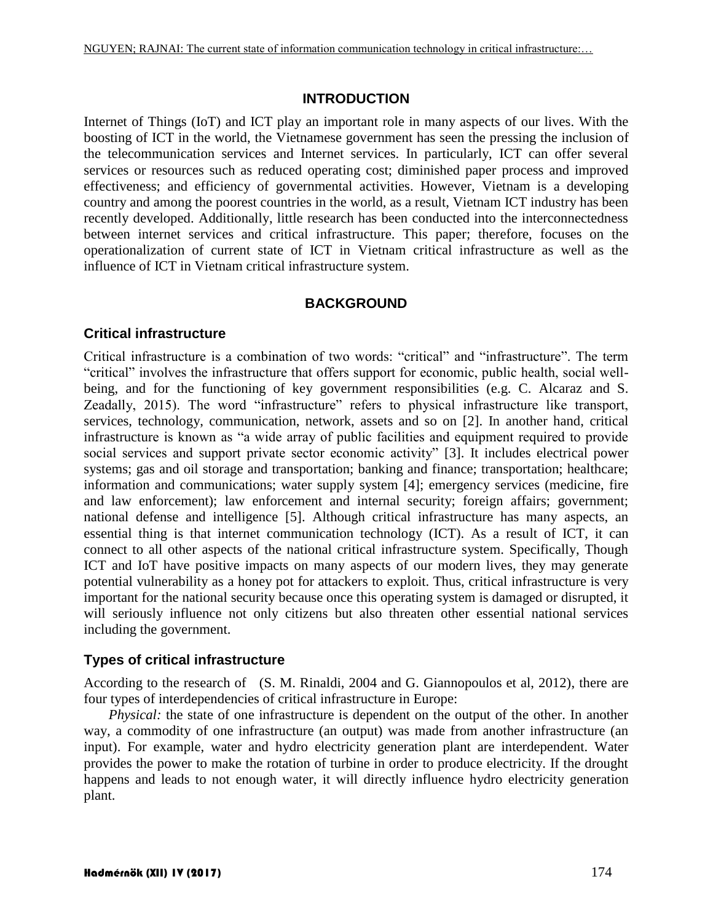#### **INTRODUCTION**

Internet of Things (IoT) and ICT play an important role in many aspects of our lives. With the boosting of ICT in the world, the Vietnamese government has seen the pressing the inclusion of the telecommunication services and Internet services. In particularly, ICT can offer several services or resources such as reduced operating cost; diminished paper process and improved effectiveness; and efficiency of governmental activities. However, Vietnam is a developing country and among the poorest countries in the world, as a result, Vietnam ICT industry has been recently developed. Additionally, little research has been conducted into the interconnectedness between internet services and critical infrastructure. This paper; therefore, focuses on the operationalization of current state of ICT in Vietnam critical infrastructure as well as the influence of ICT in Vietnam critical infrastructure system.

#### **BACKGROUND**

## **Critical infrastructure**

Critical infrastructure is a combination of two words: "critical" and "infrastructure". The term "critical" involves the infrastructure that offers support for economic, public health, social wellbeing, and for the functioning of key government responsibilities (e.g. C. Alcaraz and S. Zeadally, 2015). The word "infrastructure" refers to physical infrastructure like transport, services, technology, communication, network, assets and so on [2]. In another hand, critical infrastructure is known as "a wide array of public facilities and equipment required to provide social services and support private sector economic activity" [3]. It includes electrical power systems; gas and oil storage and transportation; banking and finance; transportation; healthcare; information and communications; water supply system [4]; emergency services (medicine, fire and law enforcement); law enforcement and internal security; foreign affairs; government; national defense and intelligence [5]. Although critical infrastructure has many aspects, an essential thing is that internet communication technology (ICT). As a result of ICT, it can connect to all other aspects of the national critical infrastructure system. Specifically, Though ICT and IoT have positive impacts on many aspects of our modern lives, they may generate potential vulnerability as a honey pot for attackers to exploit. Thus, critical infrastructure is very important for the national security because once this operating system is damaged or disrupted, it will seriously influence not only citizens but also threaten other essential national services including the government.

## **Types of critical infrastructure**

According to the research of (S. M. Rinaldi, 2004 and G. Giannopoulos et al, 2012), there are four types of interdependencies of critical infrastructure in Europe:

*Physical:* the state of one infrastructure is dependent on the output of the other. In another way, a commodity of one infrastructure (an output) was made from another infrastructure (an input). For example, water and hydro electricity generation plant are interdependent. Water provides the power to make the rotation of turbine in order to produce electricity. If the drought happens and leads to not enough water, it will directly influence hydro electricity generation plant.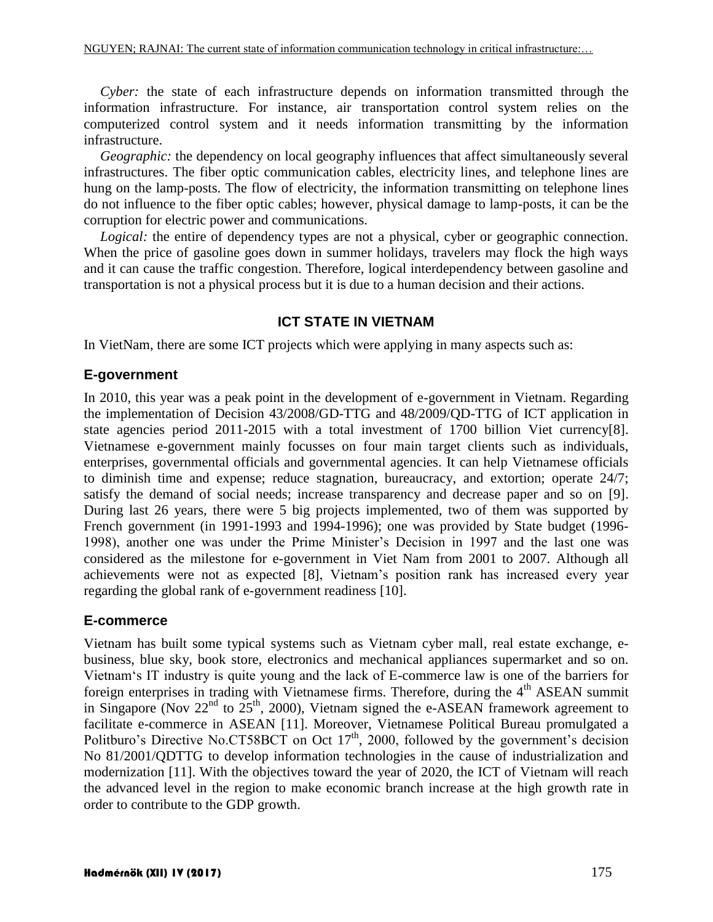*Cyber:* the state of each infrastructure depends on information transmitted through the information infrastructure. For instance, air transportation control system relies on the computerized control system and it needs information transmitting by the information infrastructure.

*Geographic:* the dependency on local geography influences that affect simultaneously several infrastructures. The fiber optic communication cables, electricity lines, and telephone lines are hung on the lamp-posts. The flow of electricity, the information transmitting on telephone lines do not influence to the fiber optic cables; however, physical damage to lamp-posts, it can be the corruption for electric power and communications.

*Logical:* the entire of dependency types are not a physical, cyber or geographic connection. When the price of gasoline goes down in summer holidays, travelers may flock the high ways and it can cause the traffic congestion. Therefore, logical interdependency between gasoline and transportation is not a physical process but it is due to a human decision and their actions.

## **ICT STATE IN VIETNAM**

In VietNam, there are some ICT projects which were applying in many aspects such as:

## **E-government**

In 2010, this year was a peak point in the development of e-government in Vietnam. Regarding the implementation of Decision 43/2008/GD-TTG and 48/2009/QD-TTG of ICT application in state agencies period 2011-2015 with a total investment of 1700 billion Viet currency[8]. Vietnamese e-government mainly focusses on four main target clients such as individuals, enterprises, governmental officials and governmental agencies. It can help Vietnamese officials to diminish time and expense; reduce stagnation, bureaucracy, and extortion; operate 24/7; satisfy the demand of social needs; increase transparency and decrease paper and so on [9]. During last 26 years, there were 5 big projects implemented, two of them was supported by French government (in 1991-1993 and 1994-1996); one was provided by State budget (1996- 1998), another one was under the Prime Minister's Decision in 1997 and the last one was considered as the milestone for e-government in Viet Nam from 2001 to 2007. Although all achievements were not as expected [8], Vietnam's position rank has increased every year regarding the global rank of e-government readiness [10].

## **E-commerce**

Vietnam has built some typical systems such as Vietnam cyber mall, real estate exchange, ebusiness, blue sky, book store, electronics and mechanical appliances supermarket and so on. Vietnam's IT industry is quite young and the lack of E-commerce law is one of the barriers for foreign enterprises in trading with Vietnamese firms. Therefore, during the 4<sup>th</sup> ASEAN summit in Singapore (Nov  $22<sup>nd</sup>$  to  $25<sup>th</sup>$ , 2000), Vietnam signed the e-ASEAN framework agreement to facilitate e-commerce in ASEAN [11]. Moreover, Vietnamese Political Bureau promulgated a Politburo's Directive No.CT58BCT on Oct  $17<sup>th</sup>$ , 2000, followed by the government's decision No 81/2001/QDTTG to develop information technologies in the cause of industrialization and modernization [11]. With the objectives toward the year of 2020, the ICT of Vietnam will reach the advanced level in the region to make economic branch increase at the high growth rate in order to contribute to the GDP growth.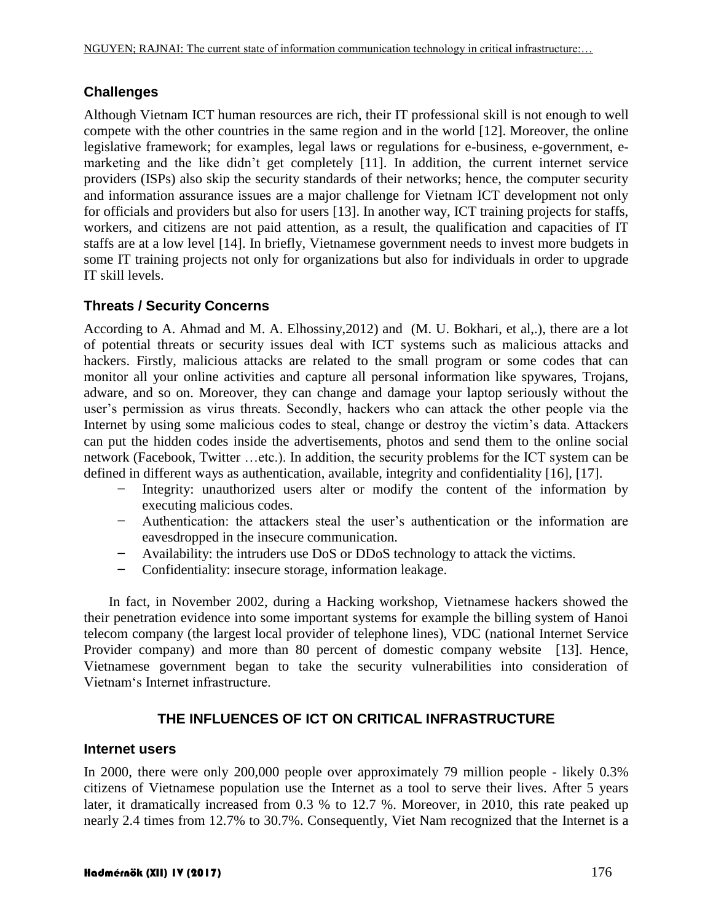# **Challenges**

Although Vietnam ICT human resources are rich, their IT professional skill is not enough to well compete with the other countries in the same region and in the world [12]. Moreover, the online legislative framework; for examples, legal laws or regulations for e-business, e-government, emarketing and the like didn't get completely [11]. In addition, the current internet service providers (ISPs) also skip the security standards of their networks; hence, the computer security and information assurance issues are a major challenge for Vietnam ICT development not only for officials and providers but also for users [13]. In another way, ICT training projects for staffs, workers, and citizens are not paid attention, as a result, the qualification and capacities of IT staffs are at a low level [14]. In briefly, Vietnamese government needs to invest more budgets in some IT training projects not only for organizations but also for individuals in order to upgrade IT skill levels.

## **Threats / Security Concerns**

According to A. Ahmad and M. A. Elhossiny,2012) and (M. U. Bokhari, et al,.), there are a lot of potential threats or security issues deal with ICT systems such as malicious attacks and hackers. Firstly, malicious attacks are related to the small program or some codes that can monitor all your online activities and capture all personal information like spywares, Trojans, adware, and so on. Moreover, they can change and damage your laptop seriously without the user's permission as virus threats. Secondly, hackers who can attack the other people via the Internet by using some malicious codes to steal, change or destroy the victim's data. Attackers can put the hidden codes inside the advertisements, photos and send them to the online social network (Facebook, Twitter …etc.). In addition, the security problems for the ICT system can be defined in different ways as authentication, available, integrity and confidentiality [16], [17].

- Integrity: unauthorized users alter or modify the content of the information by executing malicious codes.
- Authentication: the attackers steal the user's authentication or the information are eavesdropped in the insecure communication.
- Availability: the intruders use DoS or DDoS technology to attack the victims.
- Confidentiality: insecure storage, information leakage.

In fact, in November 2002, during a Hacking workshop, Vietnamese hackers showed the their penetration evidence into some important systems for example the billing system of Hanoi telecom company (the largest local provider of telephone lines), VDC (national Internet Service Provider company) and more than 80 percent of domestic company website [13]. Hence, Vietnamese government began to take the security vulnerabilities into consideration of Vietnam's Internet infrastructure.

# **THE INFLUENCES OF ICT ON CRITICAL INFRASTRUCTURE**

## **Internet users**

In 2000, there were only 200,000 people over approximately 79 million people - likely 0.3% citizens of Vietnamese population use the Internet as a tool to serve their lives. After 5 years later, it dramatically increased from 0.3 % to 12.7 %. Moreover, in 2010, this rate peaked up nearly 2.4 times from 12.7% to 30.7%. Consequently, Viet Nam recognized that the Internet is a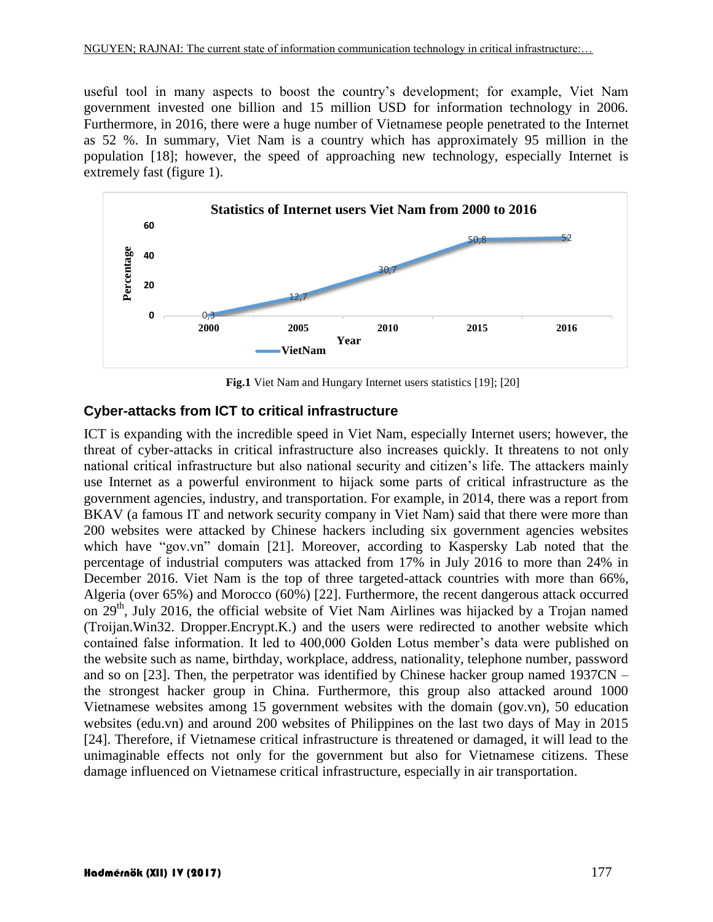useful tool in many aspects to boost the country's development; for example, Viet Nam government invested one billion and 15 million USD for information technology in 2006. Furthermore, in 2016, there were a huge number of Vietnamese people penetrated to the Internet as 52 %. In summary, Viet Nam is a country which has approximately 95 million in the population [18]; however, the speed of approaching new technology, especially Internet is extremely fast (figure 1).



**Fig.1** Viet Nam and Hungary Internet users statistics [19]; [20]

## **Cyber-attacks from ICT to critical infrastructure**

ICT is expanding with the incredible speed in Viet Nam, especially Internet users; however, the threat of cyber-attacks in critical infrastructure also increases quickly. It threatens to not only national critical infrastructure but also national security and citizen's life. The attackers mainly use Internet as a powerful environment to hijack some parts of critical infrastructure as the government agencies, industry, and transportation. For example, in 2014, there was a report from BKAV (a famous IT and network security company in Viet Nam) said that there were more than 200 websites were attacked by Chinese hackers including six government agencies websites which have "gov.vn" domain [21]. Moreover, according to Kaspersky Lab noted that the percentage of industrial computers was attacked from 17% in July 2016 to more than 24% in December 2016. Viet Nam is the top of three targeted-attack countries with more than 66%, Algeria (over 65%) and Morocco (60%) [22]. Furthermore, the recent dangerous attack occurred on 29<sup>th</sup>, July 2016, the official website of Viet Nam Airlines was hijacked by a Trojan named (Troijan.Win32. Dropper.Encrypt.K.) and the users were redirected to another website which contained false information. It led to 400,000 Golden Lotus member's data were published on the website such as name, birthday, workplace, address, nationality, telephone number, password and so on [23]. Then, the perpetrator was identified by Chinese hacker group named 1937CN – the strongest hacker group in China. Furthermore, this group also attacked around 1000 Vietnamese websites among 15 government websites with the domain (gov.vn), 50 education websites (edu.vn) and around 200 websites of Philippines on the last two days of May in 2015 [24]. Therefore, if Vietnamese critical infrastructure is threatened or damaged, it will lead to the unimaginable effects not only for the government but also for Vietnamese citizens. These **Example 1986**<br> **Example 1986**<br> **Example 1986**<br> **Example 1986**<br> **Example 1986**<br> **Example 1986**<br> **Example 1986**<br> **Example 1986**<br> **Example 1986**<br> **Example 1986**<br> **Example 1986**<br> **Example 1986**<br> **Example 1986**<br> **Example 1986**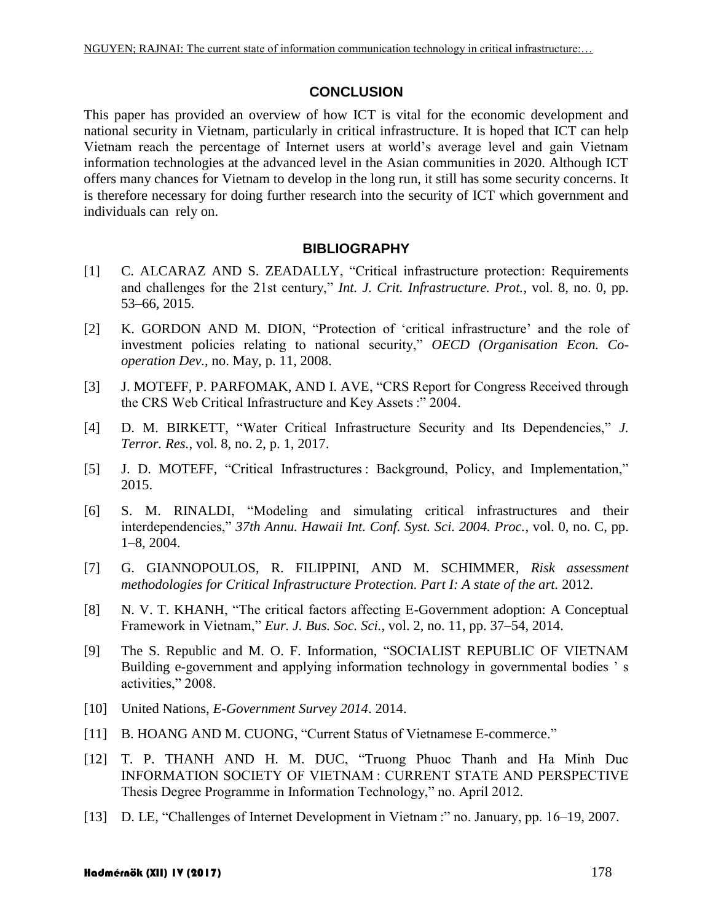## **CONCLUSION**

This paper has provided an overview of how ICT is vital for the economic development and national security in Vietnam, particularly in critical infrastructure. It is hoped that ICT can help Vietnam reach the percentage of Internet users at world's average level and gain Vietnam information technologies at the advanced level in the Asian communities in 2020. Although ICT offers many chances for Vietnam to develop in the long run, it still has some security concerns. It is therefore necessary for doing further research into the security of ICT which government and individuals can rely on.

#### **BIBLIOGRAPHY**

- [1] C. ALCARAZ AND S. ZEADALLY, "Critical infrastructure protection: Requirements and challenges for the 21st century," *Int. J. Crit. Infrastructure. Prot.*, vol. 8, no. 0, pp. 53–66, 2015.
- [2] K. GORDON AND M. DION, "Protection of 'critical infrastructure' and the role of investment policies relating to national security," *OECD (Organisation Econ. Cooperation Dev.*, no. May, p. 11, 2008.
- [3] J. MOTEFF, P. PARFOMAK, AND I. AVE, "CRS Report for Congress Received through the CRS Web Critical Infrastructure and Key Assets :" 2004.
- [4] D. M. BIRKETT, "Water Critical Infrastructure Security and Its Dependencies," *J. Terror. Res.*, vol. 8, no. 2, p. 1, 2017.
- [5] J. D. MOTEFF, "Critical Infrastructures : Background, Policy, and Implementation," 2015.
- [6] S. M. RINALDI, "Modeling and simulating critical infrastructures and their interdependencies," *37th Annu. Hawaii Int. Conf. Syst. Sci. 2004. Proc.*, vol. 0, no. C, pp. 1–8, 2004.
- [7] G. GIANNOPOULOS, R. FILIPPINI, AND M. SCHIMMER, *Risk assessment methodologies for Critical Infrastructure Protection. Part I: A state of the art.* 2012.
- [8] N. V. T. KHANH, "The critical factors affecting E-Government adoption: A Conceptual Framework in Vietnam," *Eur. J. Bus. Soc. Sci.*, vol. 2, no. 11, pp. 37–54, 2014.
- [9] The S. Republic and M. O. F. Information, "SOCIALIST REPUBLIC OF VIETNAM Building e-government and applying information technology in governmental bodies ' s activities," 2008.
- [10] United Nations, *E-Government Survey 2014*. 2014.
- [11] B. HOANG AND M. CUONG, "Current Status of Vietnamese E-commerce."
- [12] T. P. THANH AND H. M. DUC, "Truong Phuoc Thanh and Ha Minh Duc INFORMATION SOCIETY OF VIETNAM : CURRENT STATE AND PERSPECTIVE Thesis Degree Programme in Information Technology," no. April 2012.
- [13] D. LE, "Challenges of Internet Development in Vietnam :" no. January, pp. 16–19, 2007.